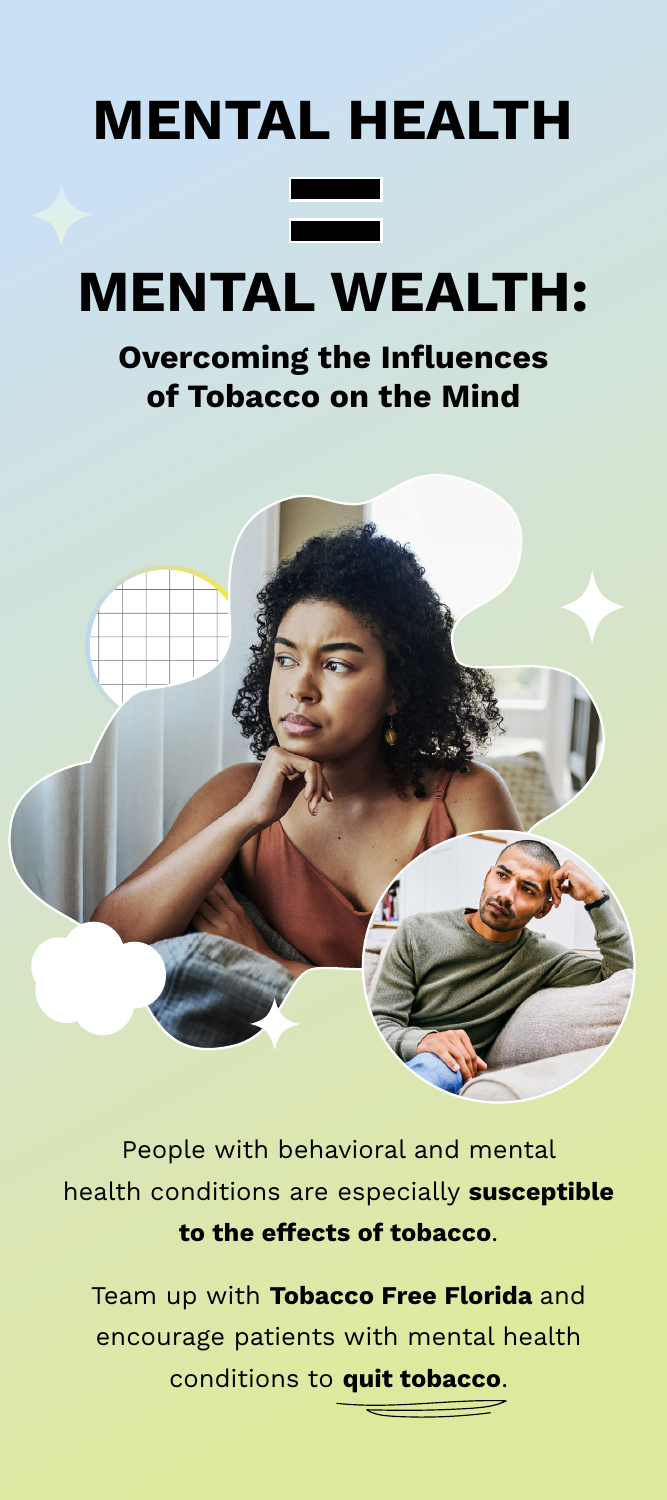# **MENTAL HEALTH**

## **MENTAL WEALTH:**

#### **Overcoming the Influences of Tobacco on the Mind**



People with behavioral and mental health conditions are especially **susceptible to the effects of tobacco**.

Team up with **Tobacco Free Florida** and encourage patients with mental health conditions to **quit tobacco**.